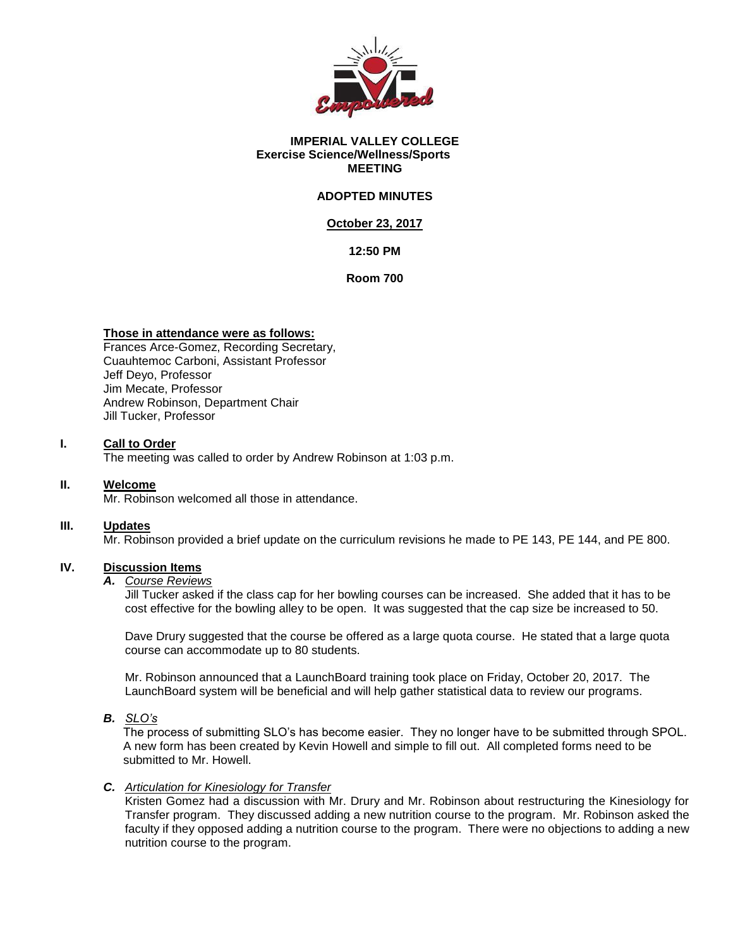

#### **IMPERIAL VALLEY COLLEGE Exercise Science/Wellness/Sports MEETING**

## **ADOPTED MINUTES**

## **October 23, 2017**

## **12:50 PM**

**Room 700**

### **Those in attendance were as follows:**

Frances Arce-Gomez, Recording Secretary, Cuauhtemoc Carboni, Assistant Professor Jeff Deyo, Professor Jim Mecate, Professor Andrew Robinson, Department Chair Jill Tucker, Professor

## **I. Call to Order**

The meeting was called to order by Andrew Robinson at 1:03 p.m.

### **II. Welcome**

Mr. Robinson welcomed all those in attendance.

## **III. Updates**

Mr. Robinson provided a brief update on the curriculum revisions he made to PE 143, PE 144, and PE 800.

## **IV. Discussion Items**

### *A. Course Reviews*

Jill Tucker asked if the class cap for her bowling courses can be increased. She added that it has to be cost effective for the bowling alley to be open. It was suggested that the cap size be increased to 50.

Dave Drury suggested that the course be offered as a large quota course. He stated that a large quota course can accommodate up to 80 students.

Mr. Robinson announced that a LaunchBoard training took place on Friday, October 20, 2017. The LaunchBoard system will be beneficial and will help gather statistical data to review our programs.

*B. SLO's*

The process of submitting SLO's has become easier. They no longer have to be submitted through SPOL. A new form has been created by Kevin Howell and simple to fill out. All completed forms need to be submitted to Mr. Howell.

### *C. Articulation for Kinesiology for Transfer*

Kristen Gomez had a discussion with Mr. Drury and Mr. Robinson about restructuring the Kinesiology for Transfer program. They discussed adding a new nutrition course to the program. Mr. Robinson asked the faculty if they opposed adding a nutrition course to the program. There were no objections to adding a new nutrition course to the program.